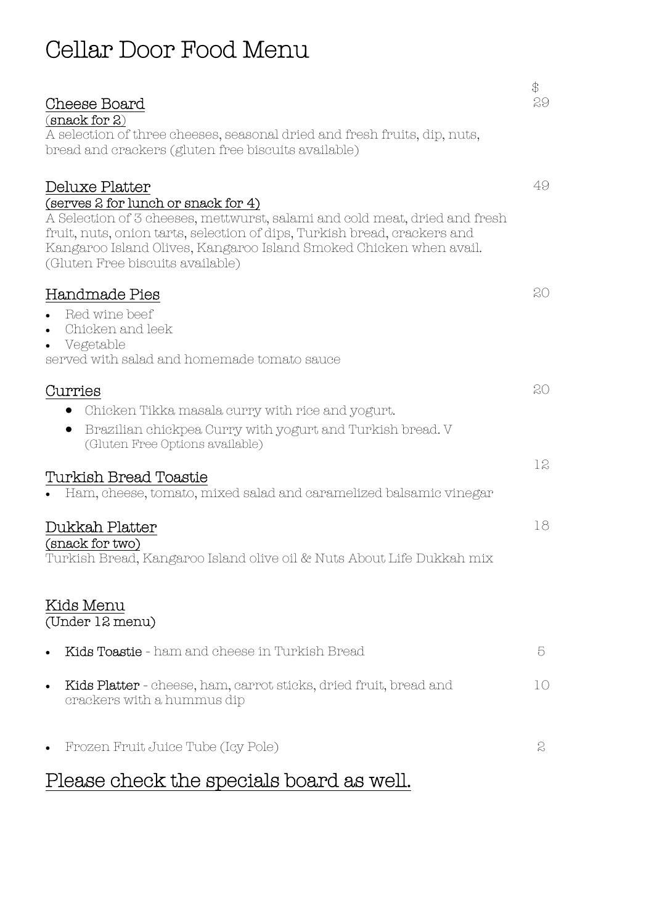## Cellar Door Food Menu

| Cheese Board                                                                                                                                                                                                                                                                                                              | $\bigoplus$<br>29 |
|---------------------------------------------------------------------------------------------------------------------------------------------------------------------------------------------------------------------------------------------------------------------------------------------------------------------------|-------------------|
| (snack for 2)<br>A selection of three cheeses, seasonal dried and fresh fruits, dip, nuts,<br>bread and crackers (gluten free biscuits available)                                                                                                                                                                         |                   |
| Deluxe Platter<br>(serves 2 for lunch or snack for 4)<br>A Selection of 3 cheeses, mettwurst, salami and cold meat, dried and fresh<br>fruit, nuts, onion tarts, selection of dips, Turkish bread, crackers and<br>Kangaroo Island Olives, Kangaroo Island Smoked Chicken when avail.<br>(Gluten Free biscuits available) | 49                |
| Handmade Pies<br>Red wine beef<br>$\bullet$<br>Chicken and leek<br>$\bullet$<br>Vegetable<br>$\bullet$<br>served with salad and homemade tomato sauce                                                                                                                                                                     | 20                |
| Curries<br>Chicken Tikka masala curry with rice and yogurt.<br>Brazilian chickpea Curry with yogurt and Turkish bread. V<br>$\bullet$<br>(Gluten Free Options available)                                                                                                                                                  | 20                |
| Turkish Bread Toastie<br>Ham, cheese, tomato, mixed salad and caramelized balsamic vinegar                                                                                                                                                                                                                                | 12                |
| Dukkah Platter<br>(snack for two)<br>Turkish Bread, Kangaroo Island olive oil & Nuts About Life Dukkah mix                                                                                                                                                                                                                | 18                |
| Kids Menu<br>(Under 12 menu)                                                                                                                                                                                                                                                                                              |                   |
| Kids Toastie - ham and cheese in Turkish Bread<br>$\bullet$                                                                                                                                                                                                                                                               | 5                 |
| Kids Platter - cheese, ham, carrot sticks, dried fruit, bread and<br>$\bullet$<br>crackers with a hummus dip                                                                                                                                                                                                              | 10                |
| Frozen Fruit Juice Tube (Icy Pole)<br>$\bullet$                                                                                                                                                                                                                                                                           | $\mathcal{S}$     |

## Please check the specials board as well.